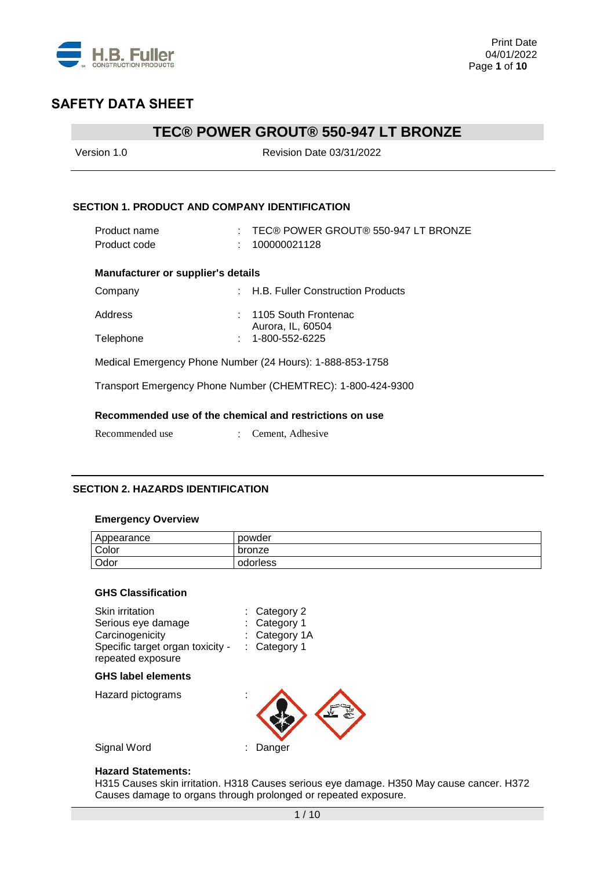

## **TEC® POWER GROUT® 550-947 LT BRONZE**

| Version 1.0                                          | Revision Date 03/31/2022                                    |
|------------------------------------------------------|-------------------------------------------------------------|
| <b>SECTION 1. PRODUCT AND COMPANY IDENTIFICATION</b> |                                                             |
| Product name<br>Product code                         | $\pm$ TEC® POWER GROUT® 550-947 LT BRONZE<br>100000021128   |
| <b>Manufacturer or supplier's details</b>            |                                                             |
| Company                                              | : H.B. Fuller Construction Products                         |
| Address                                              | 1105 South Frontenac<br>Aurora, IL, 60504                   |
| Telephone                                            | 1-800-552-6225                                              |
|                                                      | Medical Emergency Phone Number (24 Hours): 1-888-853-1758   |
|                                                      | Transport Emergency Phone Number (CHEMTREC): 1-800-424-9300 |
|                                                      | Recommended use of the chemical and restrictions on use     |
| Recommended use                                      | Cement, Adhesive                                            |

### **SECTION 2. HAZARDS IDENTIFICATION**

#### **Emergency Overview**

| Appearance | powder   |
|------------|----------|
| Color      | bronze   |
| Odor       | odorless |

#### **GHS Classification**

| Skin irritation<br>Serious eye damage<br>Carcinogenicity<br>Specific target organ toxicity -<br>repeated exposure | $:$ Category 2<br>Category 1<br>: Category 1A<br>Category 1 |
|-------------------------------------------------------------------------------------------------------------------|-------------------------------------------------------------|
| <b>GHS label elements</b>                                                                                         |                                                             |
| Hazard pictograms                                                                                                 |                                                             |
| Signal Word                                                                                                       | Danger                                                      |

#### **Hazard Statements:**

H315 Causes skin irritation. H318 Causes serious eye damage. H350 May cause cancer. H372 Causes damage to organs through prolonged or repeated exposure.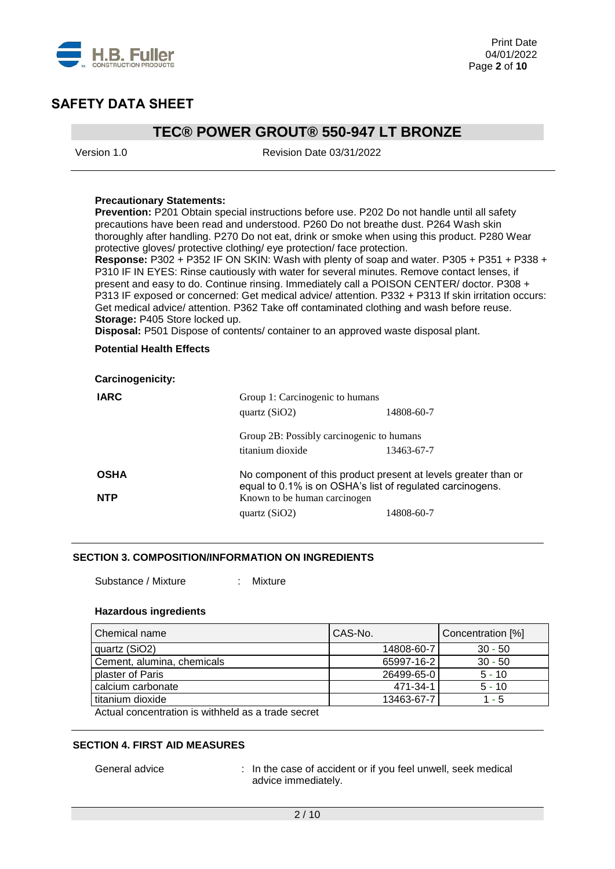

## **TEC® POWER GROUT® 550-947 LT BRONZE**

Version 1.0 Revision Date 03/31/2022

#### **Precautionary Statements:**

**Prevention:** P201 Obtain special instructions before use. P202 Do not handle until all safety precautions have been read and understood. P260 Do not breathe dust. P264 Wash skin thoroughly after handling. P270 Do not eat, drink or smoke when using this product. P280 Wear protective gloves/ protective clothing/ eye protection/ face protection.

**Response:** P302 + P352 IF ON SKIN: Wash with plenty of soap and water. P305 + P351 + P338 + P310 IF IN EYES: Rinse cautiously with water for several minutes. Remove contact lenses, if present and easy to do. Continue rinsing. Immediately call a POISON CENTER/ doctor. P308 + P313 IF exposed or concerned: Get medical advice/ attention. P332 + P313 If skin irritation occurs: Get medical advice/ attention. P362 Take off contaminated clothing and wash before reuse. **Storage:** P405 Store locked up.

**Disposal:** P501 Dispose of contents/ container to an approved waste disposal plant.

#### **Potential Health Effects**

| <b>Carcinogenicity:</b> |                                                           |                                                                |
|-------------------------|-----------------------------------------------------------|----------------------------------------------------------------|
| <b>IARC</b>             | Group 1: Carcinogenic to humans<br>quartz $(SiO2)$        | 14808-60-7                                                     |
|                         | Group 2B: Possibly carcinogenic to humans                 |                                                                |
|                         | titanium dioxide                                          | 13463-67-7                                                     |
| <b>OSHA</b>             | equal to 0.1% is on OSHA's list of regulated carcinogens. | No component of this product present at levels greater than or |
| <b>NTP</b>              | Known to be human carcinogen                              |                                                                |
|                         | quartz $(SiO2)$                                           | 14808-60-7                                                     |

#### **SECTION 3. COMPOSITION/INFORMATION ON INGREDIENTS**

Substance / Mixture : Mixture

#### **Hazardous ingredients**

| Chemical name                                                                                                                                                                                                                  | CAS-No.    | Concentration [%] |
|--------------------------------------------------------------------------------------------------------------------------------------------------------------------------------------------------------------------------------|------------|-------------------|
| quartz (SiO2)                                                                                                                                                                                                                  | 14808-60-7 | $30 - 50$         |
| Cement, alumina, chemicals                                                                                                                                                                                                     | 65997-16-2 | $30 - 50$         |
| plaster of Paris                                                                                                                                                                                                               | 26499-65-0 | $5 - 10$          |
| calcium carbonate                                                                                                                                                                                                              | 471-34-1   | $5 - 10$          |
| titanium dioxide                                                                                                                                                                                                               | 13463-67-7 | 1 - 5             |
| A sense in the company of the control of the company of the company of the company of the company of the company of the company of the company of the company of the company of the company of the company of the company of t |            |                   |

Actual concentration is withheld as a trade secret

#### **SECTION 4. FIRST AID MEASURES**

General advice : In the case of accident or if you feel unwell, seek medical advice immediately.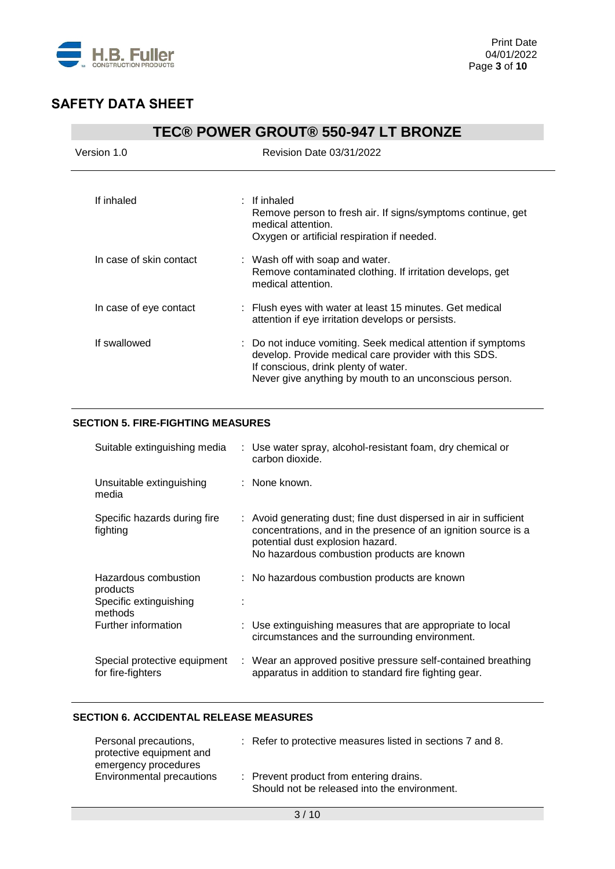

| <b>TEC® POWER GROUT® 550-947 LT BRONZE</b> |                                                                                                                                                                                                                         |  |
|--------------------------------------------|-------------------------------------------------------------------------------------------------------------------------------------------------------------------------------------------------------------------------|--|
| Version 1.0                                | <b>Revision Date 03/31/2022</b>                                                                                                                                                                                         |  |
| If inhaled                                 | $:$ If inhaled<br>Remove person to fresh air. If signs/symptoms continue, get<br>medical attention.<br>Oxygen or artificial respiration if needed.                                                                      |  |
| In case of skin contact                    | : Wash off with soap and water.<br>Remove contaminated clothing. If irritation develops, get<br>medical attention.                                                                                                      |  |
| In case of eye contact                     | : Flush eyes with water at least 15 minutes. Get medical<br>attention if eye irritation develops or persists.                                                                                                           |  |
| If swallowed                               | : Do not induce vomiting. Seek medical attention if symptoms<br>develop. Provide medical care provider with this SDS.<br>If conscious, drink plenty of water.<br>Never give anything by mouth to an unconscious person. |  |

### **SECTION 5. FIRE-FIGHTING MEASURES**

| Suitable extinguishing media                                          | : Use water spray, alcohol-resistant foam, dry chemical or<br>carbon dioxide.                                                                                                                                         |
|-----------------------------------------------------------------------|-----------------------------------------------------------------------------------------------------------------------------------------------------------------------------------------------------------------------|
| Unsuitable extinguishing<br>media                                     | : None known.                                                                                                                                                                                                         |
| Specific hazards during fire<br>fighting                              | : Avoid generating dust; fine dust dispersed in air in sufficient<br>concentrations, and in the presence of an ignition source is a<br>potential dust explosion hazard.<br>No hazardous combustion products are known |
| Hazardous combustion<br>products<br>Specific extinguishing<br>methods | : No hazardous combustion products are known                                                                                                                                                                          |
| Further information                                                   | : Use extinguishing measures that are appropriate to local<br>circumstances and the surrounding environment.                                                                                                          |
| Special protective equipment<br>for fire-fighters                     | : Wear an approved positive pressure self-contained breathing<br>apparatus in addition to standard fire fighting gear.                                                                                                |

### **SECTION 6. ACCIDENTAL RELEASE MEASURES**

| Personal precautions,<br>protective equipment and<br>emergency procedures | : Refer to protective measures listed in sections 7 and 8.                              |
|---------------------------------------------------------------------------|-----------------------------------------------------------------------------------------|
| Environmental precautions                                                 | : Prevent product from entering drains.<br>Should not be released into the environment. |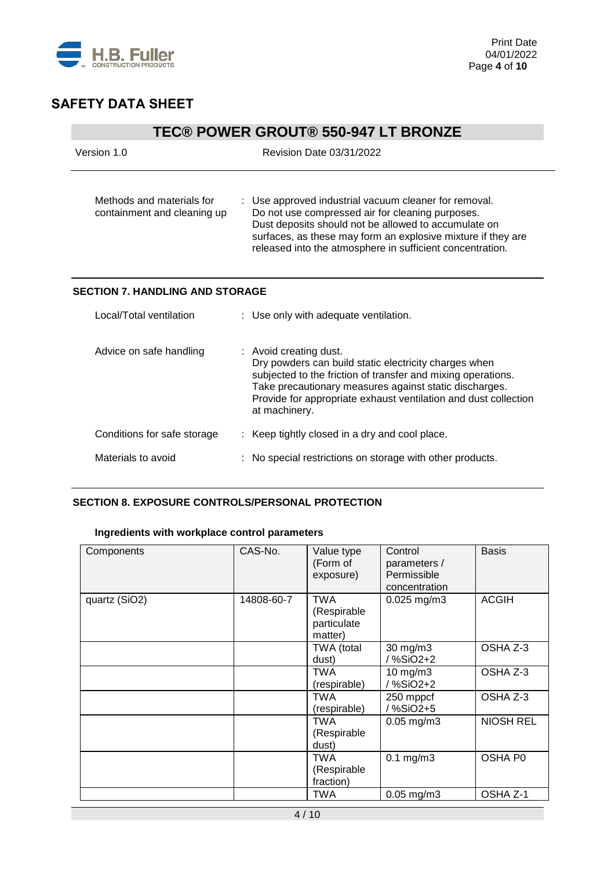

## **TEC® POWER GROUT® 550-947 LT BRONZE**

| Version 1.0                                              | Revision Date 03/31/2022                                                                                                                                                                                                                                                                       |
|----------------------------------------------------------|------------------------------------------------------------------------------------------------------------------------------------------------------------------------------------------------------------------------------------------------------------------------------------------------|
| Methods and materials for<br>containment and cleaning up | : Use approved industrial vacuum cleaner for removal.<br>Do not use compressed air for cleaning purposes.<br>Dust deposits should not be allowed to accumulate on<br>surfaces, as these may form an explosive mixture if they are<br>released into the atmosphere in sufficient concentration. |
| <b>SECTION 7. HANDLING AND STORAGE</b>                   |                                                                                                                                                                                                                                                                                                |
| Local/Total ventilation                                  | : Use only with adequate ventilation.                                                                                                                                                                                                                                                          |
| Advice on safe handling                                  | : Avoid creating dust.<br>Dry powders can build static electricity charges when<br>subjected to the friction of transfer and mixing operations.<br>Take precautionary measures against static discharges.<br>Provide for appropriate exhaust ventilation and dust collection<br>at machinery.  |
| Conditions for safe storage                              | Keep tightly closed in a dry and cool place.                                                                                                                                                                                                                                                   |
| Materials to avoid                                       | No special restrictions on storage with other products.                                                                                                                                                                                                                                        |

#### **SECTION 8. EXPOSURE CONTROLS/PERSONAL PROTECTION**

### **Ingredients with workplace control parameters**

| Components    | CAS-No.    | Value type<br>(Form of<br>exposure)                 | Control<br>parameters /<br>Permissible<br>concentration | <b>Basis</b>     |
|---------------|------------|-----------------------------------------------------|---------------------------------------------------------|------------------|
| quartz (SiO2) | 14808-60-7 | <b>TWA</b><br>(Respirable<br>particulate<br>matter) | $0.025$ mg/m3                                           | <b>ACGIH</b>     |
|               |            | TWA (total<br>dust)                                 | 30 mg/m3<br>/ %SiO2+2                                   | OSHA Z-3         |
|               |            | TWA<br>(respirable)                                 | $10$ mg/m $3$<br>/ %SiO2+2                              | OSHA Z-3         |
|               |            | TWA<br>(respirable)                                 | 250 mppcf<br>/%SiO2+5                                   | OSHA Z-3         |
|               |            | TWA<br>(Respirable<br>dust)                         | $0.05$ mg/m $3$                                         | <b>NIOSH REL</b> |
|               |            | TWA<br>(Respirable<br>fraction)                     | $0.1$ mg/m $3$                                          | OSHA P0          |
|               |            | TWA                                                 | $0.05$ mg/m $3$                                         | OSHA Z-1         |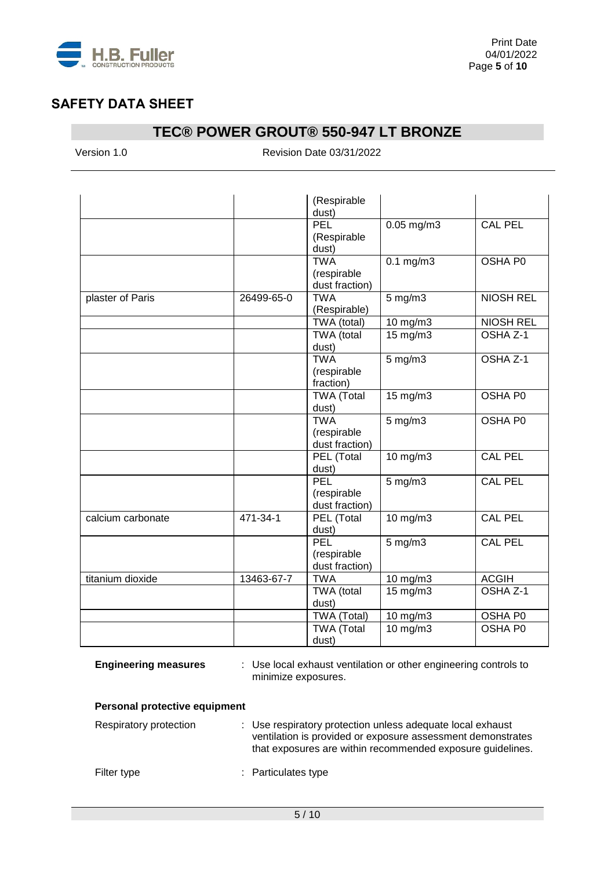

## **TEC® POWER GROUT® 550-947 LT BRONZE**

Version 1.0 Revision Date 03/31/2022

|                   |            | (Respirable<br>dust)                        |                   |                     |
|-------------------|------------|---------------------------------------------|-------------------|---------------------|
|                   |            | PEL<br>(Respirable<br>dust)                 | $0.05$ mg/m3      | <b>CAL PEL</b>      |
|                   |            | <b>TWA</b><br>(respirable<br>dust fraction) | $0.1$ mg/m $3$    | OSHA P0             |
| plaster of Paris  | 26499-65-0 | <b>TWA</b><br>(Respirable)                  | $5$ mg/m $3$      | <b>NIOSH REL</b>    |
|                   |            | TWA (total)                                 | 10 mg/m3          | <b>NIOSH REL</b>    |
|                   |            | TWA (total<br>dust)                         | $15 \text{ mg/m}$ | OSHA <sub>Z-1</sub> |
|                   |            | <b>TWA</b><br>(respirable<br>fraction)      | $5$ mg/m $3$      | OSHA Z-1            |
|                   |            | <b>TWA (Total</b><br>dust)                  | $15 \text{ mg/m}$ | OSHA P0             |
|                   |            | <b>TWA</b><br>(respirable<br>dust fraction) | $5$ mg/m $3$      | OSHA P0             |
|                   |            | PEL (Total<br>dust)                         | $10 \text{ mg/m}$ | <b>CAL PEL</b>      |
|                   |            | <b>PEL</b><br>(respirable<br>dust fraction) | $5$ mg/m $3$      | <b>CAL PEL</b>      |
| calcium carbonate | 471-34-1   | PEL (Total<br>dust)                         | 10 mg/m3          | <b>CAL PEL</b>      |
|                   |            | PEL<br>(respirable<br>dust fraction)        | $5$ mg/m $3$      | CAL PEL             |
| titanium dioxide  | 13463-67-7 | <b>TWA</b>                                  | 10 mg/m3          | <b>ACGIH</b>        |
|                   |            | TWA (total<br>dust)                         | 15 mg/m3          | OSHA Z-1            |
|                   |            | TWA (Total)                                 | 10 mg/m3          | OSHA P0             |
|                   |            | <b>TWA (Total</b><br>dust)                  | 10 mg/m3          | OSHA P0             |

**Engineering measures** : Use local exhaust ventilation or other engineering controls to minimize exposures.

#### **Personal protective equipment**

| Respiratory protection | : Use respiratory protection unless adequate local exhaust<br>ventilation is provided or exposure assessment demonstrates<br>that exposures are within recommended exposure guidelines. |
|------------------------|-----------------------------------------------------------------------------------------------------------------------------------------------------------------------------------------|
| Filter type            | : Particulates type                                                                                                                                                                     |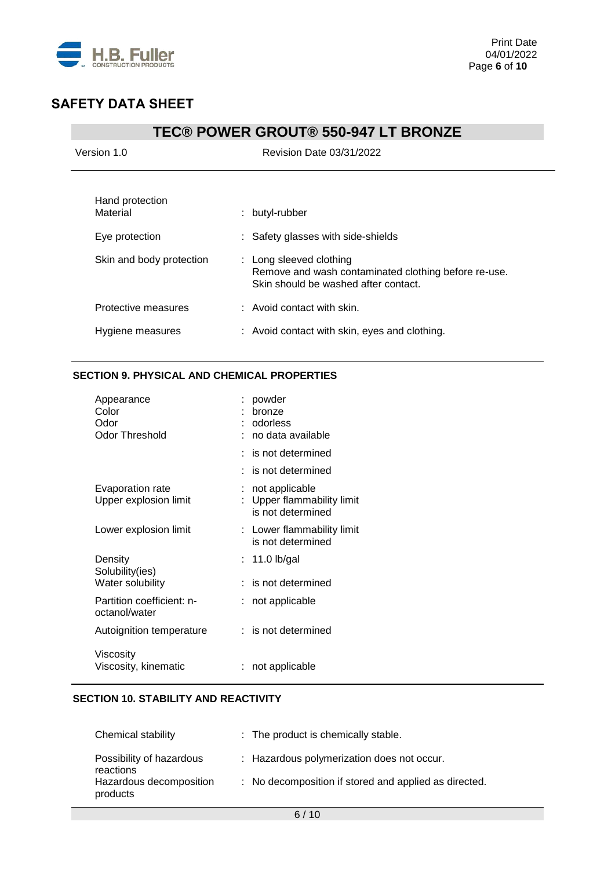

## **TEC® POWER GROUT® 550-947 LT BRONZE**

| Version 1.0                                   | <b>Revision Date 03/31/2022</b>                                                                                         |
|-----------------------------------------------|-------------------------------------------------------------------------------------------------------------------------|
| Hand protection<br>Material<br>Eye protection | : butyl-rubber<br>: Safety glasses with side-shields                                                                    |
| Skin and body protection                      | : Long sleeved clothing<br>Remove and wash contaminated clothing before re-use.<br>Skin should be washed after contact. |
| Protective measures                           | $\therefore$ Avoid contact with skin.                                                                                   |
| Hygiene measures                              | : Avoid contact with skin, eyes and clothing.                                                                           |

### **SECTION 9. PHYSICAL AND CHEMICAL PROPERTIES**

| Appearance<br>Color<br>Odor<br><b>Odor Threshold</b> | powder<br>bronze<br>odorless<br>: no data available             |
|------------------------------------------------------|-----------------------------------------------------------------|
|                                                      | $:$ is not determined                                           |
|                                                      | : is not determined                                             |
| Evaporation rate<br>Upper explosion limit            | not applicable<br>Upper flammability limit<br>is not determined |
| Lower explosion limit                                | : Lower flammability limit<br>is not determined                 |
| Density<br>Solubility(ies)                           | : 11.0 lb/gal                                                   |
| Water solubility                                     | is not determined                                               |
| Partition coefficient: n-<br>octanol/water           | not applicable                                                  |
| Autoignition temperature                             | $:$ is not determined                                           |
| Viscosity<br>Viscosity, kinematic                    | not applicable                                                  |

### **SECTION 10. STABILITY AND REACTIVITY**

| <b>Chemical stability</b>             | : The product is chemically stable.                   |
|---------------------------------------|-------------------------------------------------------|
| Possibility of hazardous<br>reactions | : Hazardous polymerization does not occur.            |
| Hazardous decomposition<br>products   | : No decomposition if stored and applied as directed. |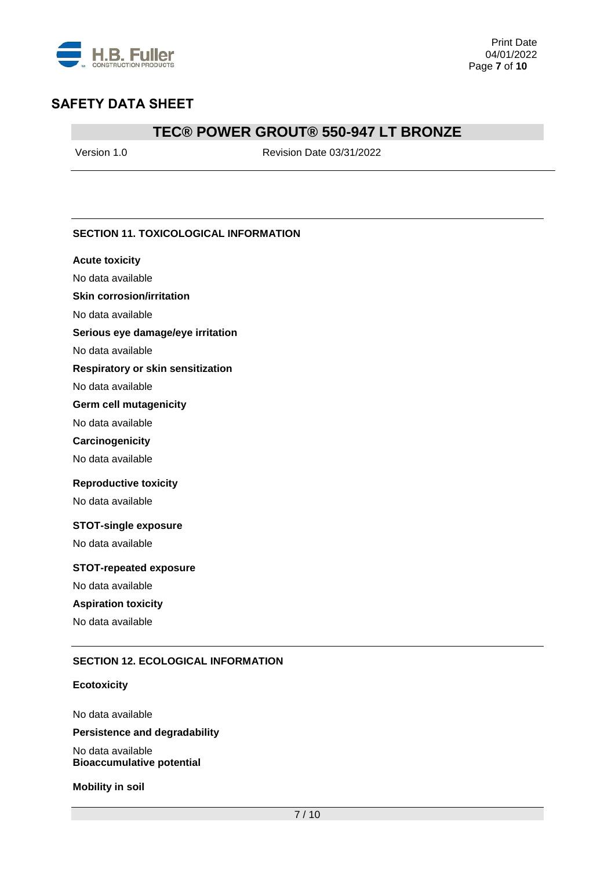

## **TEC® POWER GROUT® 550-947 LT BRONZE**

Version 1.0 Revision Date 03/31/2022

#### **SECTION 11. TOXICOLOGICAL INFORMATION**

#### **Acute toxicity**

No data available

#### **Skin corrosion/irritation**

No data available

#### **Serious eye damage/eye irritation**

No data available

#### **Respiratory or skin sensitization**

No data available

#### **Germ cell mutagenicity**

No data available

#### **Carcinogenicity**

No data available

#### **Reproductive toxicity**

No data available

#### **STOT-single exposure**

No data available

#### **STOT-repeated exposure**

No data available

#### **Aspiration toxicity**

No data available

#### **SECTION 12. ECOLOGICAL INFORMATION**

#### **Ecotoxicity**

No data available **Persistence and degradability**

No data available **Bioaccumulative potential**

**Mobility in soil**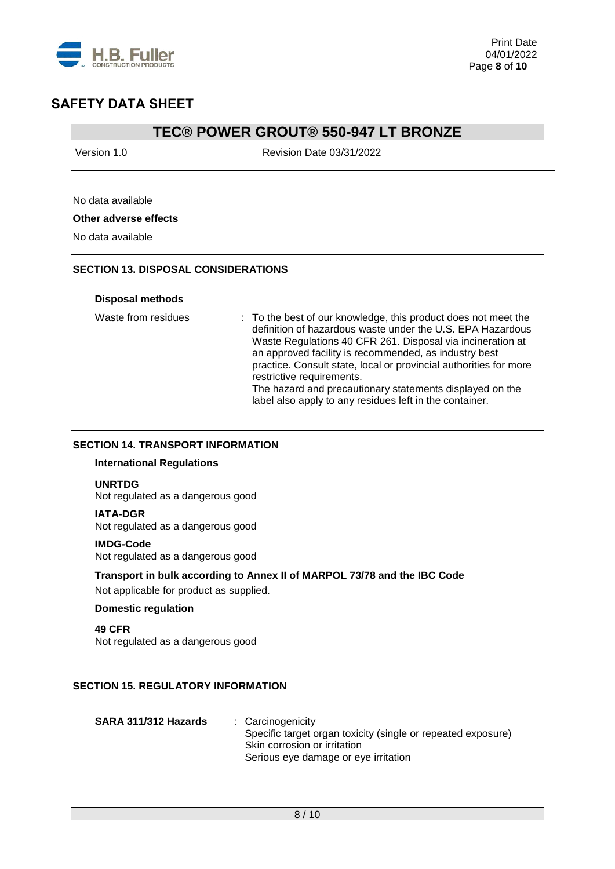

### **TEC® POWER GROUT® 550-947 LT BRONZE**

Version 1.0 Revision Date 03/31/2022

### No data available

#### **Other adverse effects**

No data available

### **SECTION 13. DISPOSAL CONSIDERATIONS**

#### **Disposal methods**

Waste from residues : To the best of our knowledge, this product does not meet the definition of hazardous waste under the U.S. EPA Hazardous Waste Regulations 40 CFR 261. Disposal via incineration at an approved facility is recommended, as industry best practice. Consult state, local or provincial authorities for more restrictive requirements. The hazard and precautionary statements displayed on the label also apply to any residues left in the container.

### **SECTION 14. TRANSPORT INFORMATION**

#### **International Regulations**

#### **UNRTDG**

Not regulated as a dangerous good

#### **IATA-DGR**

Not regulated as a dangerous good

#### **IMDG-Code**

Not regulated as a dangerous good

### **Transport in bulk according to Annex II of MARPOL 73/78 and the IBC Code**

Not applicable for product as supplied.

#### **Domestic regulation**

**49 CFR** Not regulated as a dangerous good

### **SECTION 15. REGULATORY INFORMATION**

| SARA 311/312 Hazards | : Carcinogenicity                                            |
|----------------------|--------------------------------------------------------------|
|                      | Specific target organ toxicity (single or repeated exposure) |
|                      | Skin corrosion or irritation                                 |
|                      | Serious eye damage or eye irritation                         |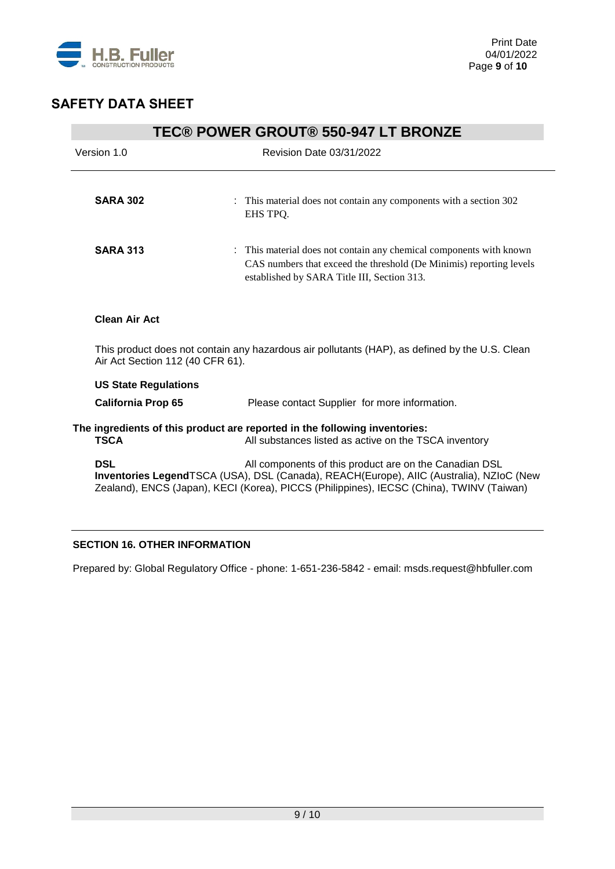

| <b>TEC® POWER GROUT® 550-947 LT BRONZE</b>                                                                                         |                                                                                                                                                                                                                                               |  |  |  |
|------------------------------------------------------------------------------------------------------------------------------------|-----------------------------------------------------------------------------------------------------------------------------------------------------------------------------------------------------------------------------------------------|--|--|--|
| Version 1.0                                                                                                                        | <b>Revision Date 03/31/2022</b>                                                                                                                                                                                                               |  |  |  |
|                                                                                                                                    |                                                                                                                                                                                                                                               |  |  |  |
| <b>SARA 302</b>                                                                                                                    | : This material does not contain any components with a section 302<br>EHS TPQ.                                                                                                                                                                |  |  |  |
| <b>SARA 313</b>                                                                                                                    | : This material does not contain any chemical components with known<br>CAS numbers that exceed the threshold (De Minimis) reporting levels<br>established by SARA Title III, Section 313.                                                     |  |  |  |
| <b>Clean Air Act</b>                                                                                                               |                                                                                                                                                                                                                                               |  |  |  |
| This product does not contain any hazardous air pollutants (HAP), as defined by the U.S. Clean<br>Air Act Section 112 (40 CFR 61). |                                                                                                                                                                                                                                               |  |  |  |
| <b>US State Regulations</b>                                                                                                        |                                                                                                                                                                                                                                               |  |  |  |
| <b>California Prop 65</b>                                                                                                          | Please contact Supplier for more information.                                                                                                                                                                                                 |  |  |  |
| <b>TSCA</b>                                                                                                                        | The ingredients of this product are reported in the following inventories:<br>All substances listed as active on the TSCA inventory                                                                                                           |  |  |  |
| <b>DSL</b>                                                                                                                         | All components of this product are on the Canadian DSL<br>Inventories LegendTSCA (USA), DSL (Canada), REACH(Europe), AIIC (Australia), NZIoC (New<br>Zealand), ENCS (Japan), KECI (Korea), PICCS (Philippines), IECSC (China), TWINV (Taiwan) |  |  |  |

### **SECTION 16. OTHER INFORMATION**

Prepared by: Global Regulatory Office - phone: 1-651-236-5842 - email: msds.request@hbfuller.com